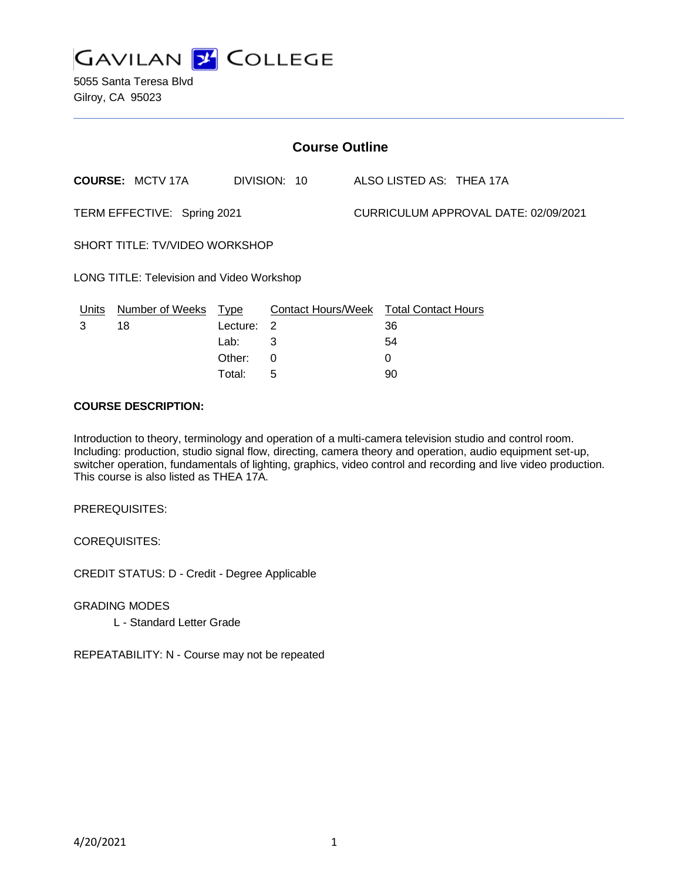

5055 Santa Teresa Blvd Gilroy, CA 95023

| <b>Course Outline</b>                            |                         |            |                                        |  |                                      |  |  |
|--------------------------------------------------|-------------------------|------------|----------------------------------------|--|--------------------------------------|--|--|
|                                                  | <b>COURSE: MCTV 17A</b> |            | DIVISION: 10                           |  | ALSO LISTED AS: THEA 17A             |  |  |
| TERM EFFECTIVE: Spring 2021                      |                         |            |                                        |  | CURRICULUM APPROVAL DATE: 02/09/2021 |  |  |
| SHORT TITLE: TV/VIDEO WORKSHOP                   |                         |            |                                        |  |                                      |  |  |
| <b>LONG TITLE: Television and Video Workshop</b> |                         |            |                                        |  |                                      |  |  |
| Units                                            | Number of Weeks Type    |            | Contact Hours/Week Total Contact Hours |  |                                      |  |  |
| 3                                                | 18                      | Lecture: 2 |                                        |  | 36                                   |  |  |
|                                                  |                         | Lab:       | 3                                      |  | 54                                   |  |  |
|                                                  |                         | Other:     | 0                                      |  | 0                                    |  |  |

Total: 5 90

### **COURSE DESCRIPTION:**

Introduction to theory, terminology and operation of a multi-camera television studio and control room. Including: production, studio signal flow, directing, camera theory and operation, audio equipment set-up, switcher operation, fundamentals of lighting, graphics, video control and recording and live video production. This course is also listed as THEA 17A.

PREREQUISITES:

COREQUISITES:

CREDIT STATUS: D - Credit - Degree Applicable

GRADING MODES

L - Standard Letter Grade

REPEATABILITY: N - Course may not be repeated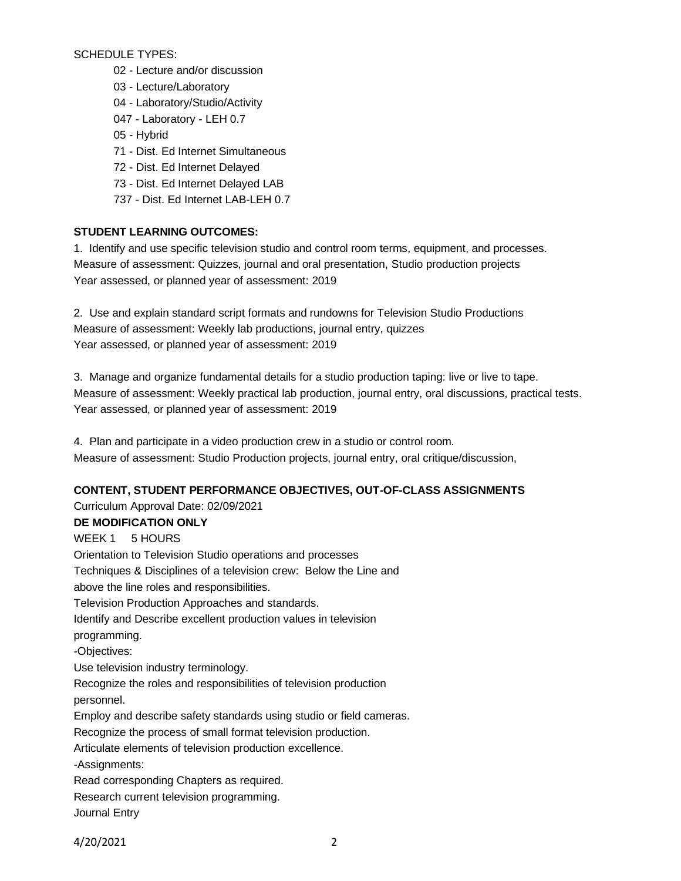SCHEDULE TYPES:

- 02 Lecture and/or discussion
- 03 Lecture/Laboratory
- 04 Laboratory/Studio/Activity
- 047 Laboratory LEH 0.7
- 05 Hybrid
- 71 Dist. Ed Internet Simultaneous
- 72 Dist. Ed Internet Delayed
- 73 Dist. Ed Internet Delayed LAB
- 737 Dist. Ed Internet LAB-LEH 0.7

## **STUDENT LEARNING OUTCOMES:**

1. Identify and use specific television studio and control room terms, equipment, and processes. Measure of assessment: Quizzes, journal and oral presentation, Studio production projects Year assessed, or planned year of assessment: 2019

2. Use and explain standard script formats and rundowns for Television Studio Productions Measure of assessment: Weekly lab productions, journal entry, quizzes Year assessed, or planned year of assessment: 2019

3. Manage and organize fundamental details for a studio production taping: live or live to tape. Measure of assessment: Weekly practical lab production, journal entry, oral discussions, practical tests. Year assessed, or planned year of assessment: 2019

4. Plan and participate in a video production crew in a studio or control room. Measure of assessment: Studio Production projects, journal entry, oral critique/discussion,

# **CONTENT, STUDENT PERFORMANCE OBJECTIVES, OUT-OF-CLASS ASSIGNMENTS**

Curriculum Approval Date: 02/09/2021 **DE MODIFICATION ONLY** WEEK 1 5 HOURS Orientation to Television Studio operations and processes Techniques & Disciplines of a television crew: Below the Line and above the line roles and responsibilities. Television Production Approaches and standards. Identify and Describe excellent production values in television programming. -Objectives: Use television industry terminology. Recognize the roles and responsibilities of television production personnel. Employ and describe safety standards using studio or field cameras. Recognize the process of small format television production. Articulate elements of television production excellence. -Assignments: Read corresponding Chapters as required. Research current television programming. Journal Entry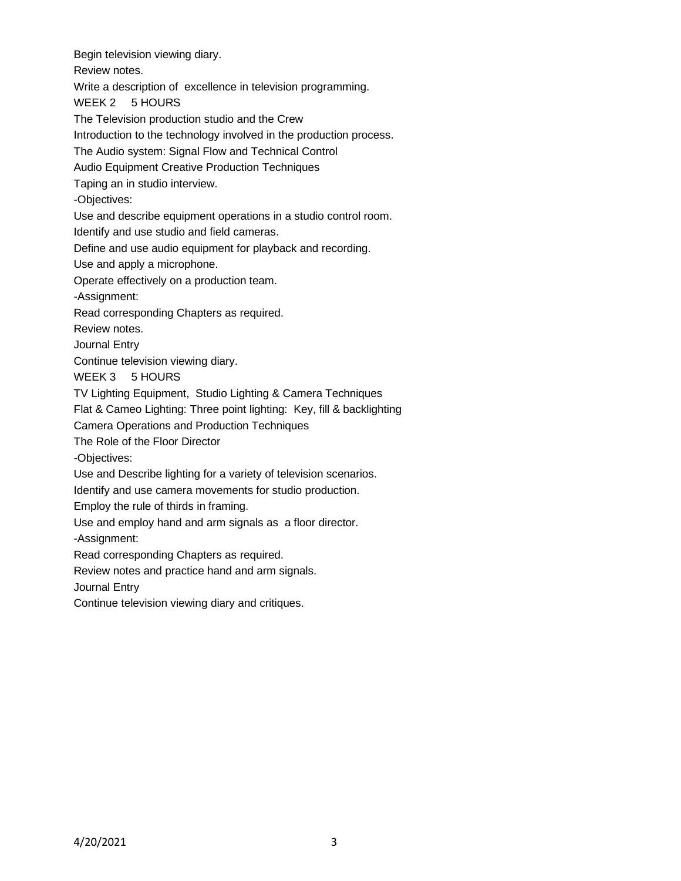Begin television viewing diary. Review notes. Write a description of excellence in television programming. WEEK 2 5 HOURS The Television production studio and the Crew Introduction to the technology involved in the production process. The Audio system: Signal Flow and Technical Control Audio Equipment Creative Production Techniques Taping an in studio interview. -Objectives: Use and describe equipment operations in a studio control room. Identify and use studio and field cameras. Define and use audio equipment for playback and recording. Use and apply a microphone. Operate effectively on a production team. -Assignment: Read corresponding Chapters as required. Review notes. Journal Entry Continue television viewing diary. WEEK 3 5 HOURS TV Lighting Equipment, Studio Lighting & Camera Techniques Flat & Cameo Lighting: Three point lighting: Key, fill & backlighting Camera Operations and Production Techniques The Role of the Floor Director -Objectives: Use and Describe lighting for a variety of television scenarios. Identify and use camera movements for studio production. Employ the rule of thirds in framing. Use and employ hand and arm signals as a floor director. -Assignment: Read corresponding Chapters as required. Review notes and practice hand and arm signals. Journal Entry

Continue television viewing diary and critiques.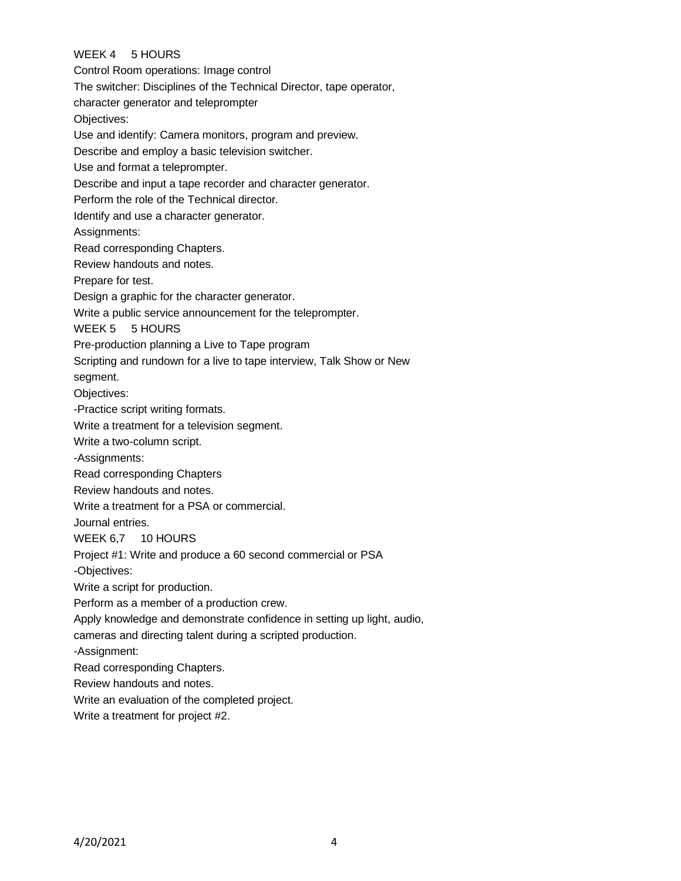# WEEK 4 5 HOURS

Control Room operations: Image control The switcher: Disciplines of the Technical Director, tape operator, character generator and teleprompter Objectives: Use and identify: Camera monitors, program and preview. Describe and employ a basic television switcher. Use and format a teleprompter. Describe and input a tape recorder and character generator. Perform the role of the Technical director. Identify and use a character generator. Assignments: Read corresponding Chapters. Review handouts and notes. Prepare for test. Design a graphic for the character generator. Write a public service announcement for the teleprompter. WEEK 5 5 HOURS Pre-production planning a Live to Tape program Scripting and rundown for a live to tape interview, Talk Show or New segment. Objectives: -Practice script writing formats. Write a treatment for a television segment. Write a two-column script. -Assignments: Read corresponding Chapters Review handouts and notes. Write a treatment for a PSA or commercial. Journal entries. WEEK 6,7 10 HOURS Project #1: Write and produce a 60 second commercial or PSA -Objectives: Write a script for production. Perform as a member of a production crew. Apply knowledge and demonstrate confidence in setting up light, audio, cameras and directing talent during a scripted production. -Assignment: Read corresponding Chapters. Review handouts and notes. Write an evaluation of the completed project.

Write a treatment for project #2.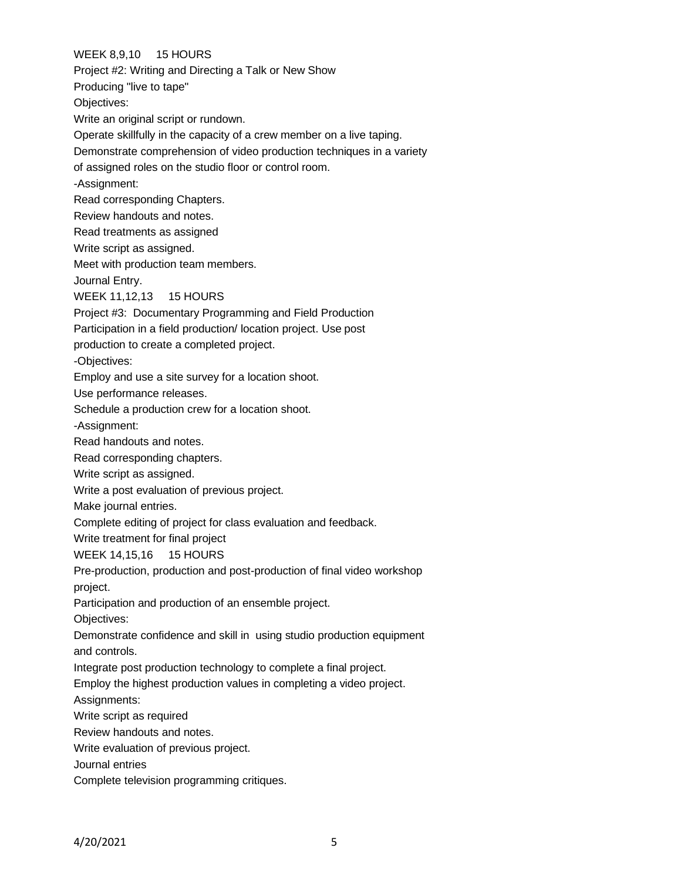WEEK 8,9,10 15 HOURS Project #2: Writing and Directing a Talk or New Show Producing "live to tape" Objectives: Write an original script or rundown. Operate skillfully in the capacity of a crew member on a live taping. Demonstrate comprehension of video production techniques in a variety of assigned roles on the studio floor or control room. -Assignment: Read corresponding Chapters. Review handouts and notes. Read treatments as assigned Write script as assigned. Meet with production team members. Journal Entry. WEEK 11,12,13 15 HOURS Project #3: Documentary Programming and Field Production Participation in a field production/ location project. Use post production to create a completed project. -Objectives: Employ and use a site survey for a location shoot. Use performance releases. Schedule a production crew for a location shoot. -Assignment: Read handouts and notes. Read corresponding chapters. Write script as assigned. Write a post evaluation of previous project. Make journal entries. Complete editing of project for class evaluation and feedback. Write treatment for final project WEEK 14,15,16 15 HOURS Pre-production, production and post-production of final video workshop project. Participation and production of an ensemble project. Objectives: Demonstrate confidence and skill in using studio production equipment and controls. Integrate post production technology to complete a final project. Employ the highest production values in completing a video project. Assignments: Write script as required Review handouts and notes. Write evaluation of previous project. Journal entries Complete television programming critiques.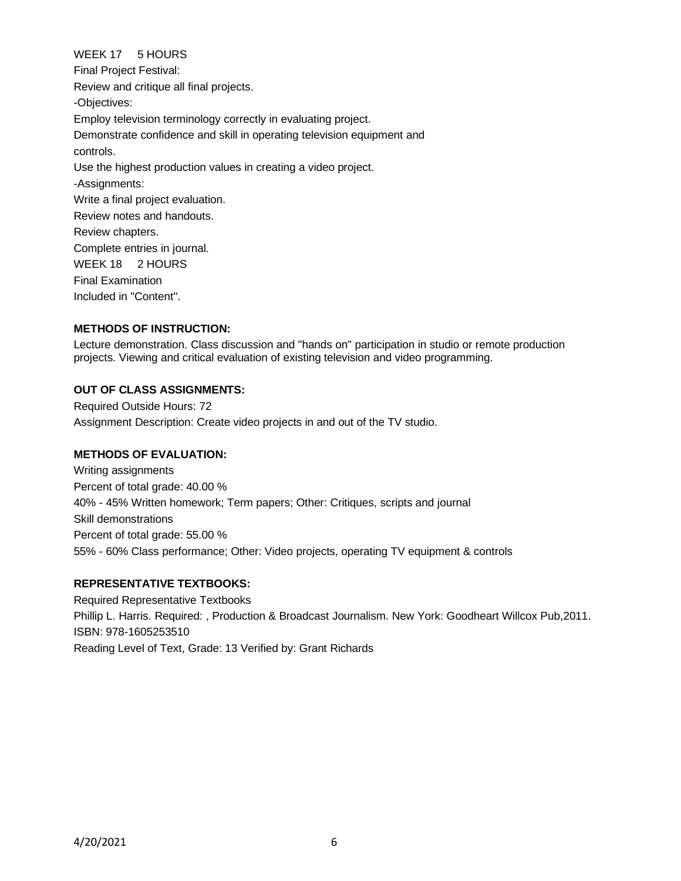# WEEK 17 5 HOURS

Final Project Festival: Review and critique all final projects. -Objectives: Employ television terminology correctly in evaluating project. Demonstrate confidence and skill in operating television equipment and controls. Use the highest production values in creating a video project. -Assignments: Write a final project evaluation. Review notes and handouts. Review chapters. Complete entries in journal. WEEK 18 2 HOURS Final Examination Included in "Content".

### **METHODS OF INSTRUCTION:**

Lecture demonstration. Class discussion and "hands on" participation in studio or remote production projects. Viewing and critical evaluation of existing television and video programming.

#### **OUT OF CLASS ASSIGNMENTS:**

Required Outside Hours: 72 Assignment Description: Create video projects in and out of the TV studio.

#### **METHODS OF EVALUATION:**

Writing assignments Percent of total grade: 40.00 % 40% - 45% Written homework; Term papers; Other: Critiques, scripts and journal Skill demonstrations Percent of total grade: 55.00 % 55% - 60% Class performance; Other: Video projects, operating TV equipment & controls

### **REPRESENTATIVE TEXTBOOKS:**

Required Representative Textbooks Phillip L. Harris. Required: , Production & Broadcast Journalism. New York: Goodheart Willcox Pub,2011. ISBN: 978-1605253510 Reading Level of Text, Grade: 13 Verified by: Grant Richards